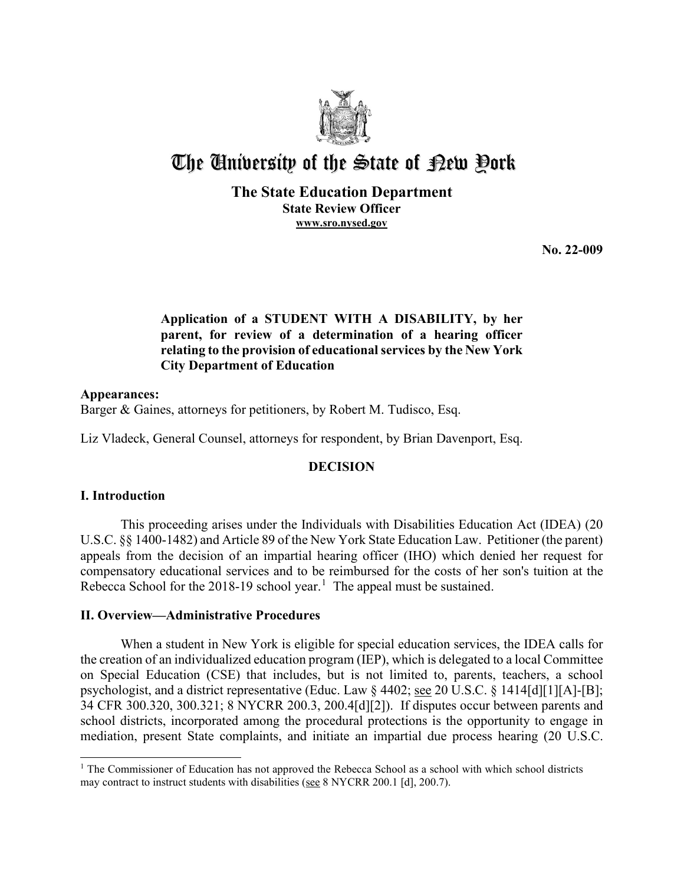

# The University of the State of Pew Pork

# **The State Education Department State Review Officer [www.sro.nysed.gov](http://www.sro.nysed.gov/)**

**No. 22-009**

# **Application of a STUDENT WITH A DISABILITY, by her parent, for review of a determination of a hearing officer relating to the provision of educational services by the New York City Department of Education**

## **Appearances:**

Barger & Gaines, attorneys for petitioners, by Robert M. Tudisco, Esq.

Liz Vladeck, General Counsel, attorneys for respondent, by Brian Davenport, Esq.

# **DECISION**

# **I. Introduction**

This proceeding arises under the Individuals with Disabilities Education Act (IDEA) (20 U.S.C. §§ 1400-1482) and Article 89 of the New York State Education Law. Petitioner (the parent) appeals from the decision of an impartial hearing officer (IHO) which denied her request for compensatory educational services and to be reimbursed for the costs of her son's tuition at the Rebecca School for the 20[1](#page-0-0)8-19 school year.<sup>1</sup> The appeal must be sustained.

# **II. Overview—Administrative Procedures**

When a student in New York is eligible for special education services, the IDEA calls for the creation of an individualized education program (IEP), which is delegated to a local Committee on Special Education (CSE) that includes, but is not limited to, parents, teachers, a school psychologist, and a district representative (Educ. Law § 4402; see 20 U.S.C. § 1414[d][1][A]-[B]; 34 CFR 300.320, 300.321; 8 NYCRR 200.3, 200.4[d][2]). If disputes occur between parents and school districts, incorporated among the procedural protections is the opportunity to engage in mediation, present State complaints, and initiate an impartial due process hearing (20 U.S.C.

<span id="page-0-0"></span><sup>&</sup>lt;sup>1</sup> The Commissioner of Education has not approved the Rebecca School as a school with which school districts may contract to instruct students with disabilities (see 8 NYCRR 200.1 [d], 200.7).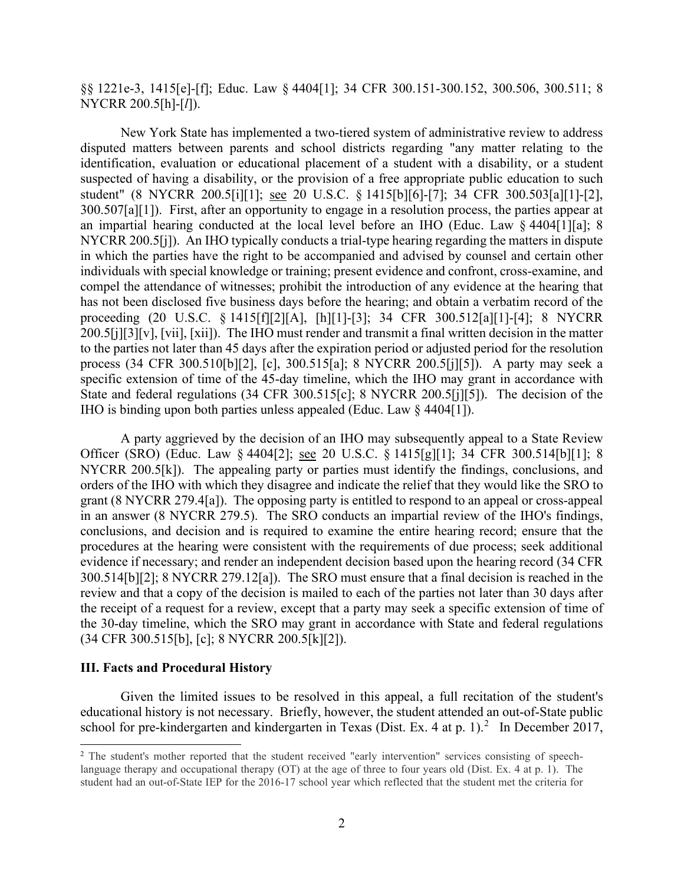§§ 1221e-3, 1415[e]-[f]; Educ. Law § 4404[1]; 34 CFR 300.151-300.152, 300.506, 300.511; 8 NYCRR 200.5[h]-[*l*]).

New York State has implemented a two-tiered system of administrative review to address disputed matters between parents and school districts regarding "any matter relating to the identification, evaluation or educational placement of a student with a disability, or a student suspected of having a disability, or the provision of a free appropriate public education to such student" (8 NYCRR 200.5[i][1]; see 20 U.S.C. § 1415[b][6]-[7]; 34 CFR 300.503[a][1]-[2], 300.507[a][1]). First, after an opportunity to engage in a resolution process, the parties appear at an impartial hearing conducted at the local level before an IHO (Educ. Law § 4404[1][a]; 8 NYCRR 200.5[j]). An IHO typically conducts a trial-type hearing regarding the matters in dispute in which the parties have the right to be accompanied and advised by counsel and certain other individuals with special knowledge or training; present evidence and confront, cross-examine, and compel the attendance of witnesses; prohibit the introduction of any evidence at the hearing that has not been disclosed five business days before the hearing; and obtain a verbatim record of the proceeding (20 U.S.C. § 1415[f][2][A], [h][1]-[3]; 34 CFR 300.512[a][1]-[4]; 8 NYCRR 200.5[j][3][v], [vii], [xii]). The IHO must render and transmit a final written decision in the matter to the parties not later than 45 days after the expiration period or adjusted period for the resolution process (34 CFR 300.510[b][2], [c], 300.515[a]; 8 NYCRR 200.5[j][5]). A party may seek a specific extension of time of the 45-day timeline, which the IHO may grant in accordance with State and federal regulations (34 CFR 300.515[c]; 8 NYCRR 200.5[j][5]). The decision of the IHO is binding upon both parties unless appealed (Educ. Law § 4404[1]).

A party aggrieved by the decision of an IHO may subsequently appeal to a State Review Officer (SRO) (Educ. Law § 4404[2]; see 20 U.S.C. § 1415[g][1]; 34 CFR 300.514[b][1]; 8 NYCRR 200.5[k]). The appealing party or parties must identify the findings, conclusions, and orders of the IHO with which they disagree and indicate the relief that they would like the SRO to grant (8 NYCRR 279.4[a]). The opposing party is entitled to respond to an appeal or cross-appeal in an answer (8 NYCRR 279.5). The SRO conducts an impartial review of the IHO's findings, conclusions, and decision and is required to examine the entire hearing record; ensure that the procedures at the hearing were consistent with the requirements of due process; seek additional evidence if necessary; and render an independent decision based upon the hearing record (34 CFR 300.514[b][2]; 8 NYCRR 279.12[a]). The SRO must ensure that a final decision is reached in the review and that a copy of the decision is mailed to each of the parties not later than 30 days after the receipt of a request for a review, except that a party may seek a specific extension of time of the 30-day timeline, which the SRO may grant in accordance with State and federal regulations (34 CFR 300.515[b], [c]; 8 NYCRR 200.5[k][2]).

## **III. Facts and Procedural History**

Given the limited issues to be resolved in this appeal, a full recitation of the student's educational history is not necessary. Briefly, however, the student attended an out-of-State public school for pre-kindergarten and kindergarten in Texas (Dist. Ex. 4 at p. 1).<sup>[2](#page-1-0)</sup> In December 2017,

<span id="page-1-0"></span><sup>&</sup>lt;sup>2</sup> The student's mother reported that the student received "early intervention" services consisting of speechlanguage therapy and occupational therapy (OT) at the age of three to four years old (Dist. Ex. 4 at p. 1). The student had an out-of-State IEP for the 2016-17 school year which reflected that the student met the criteria for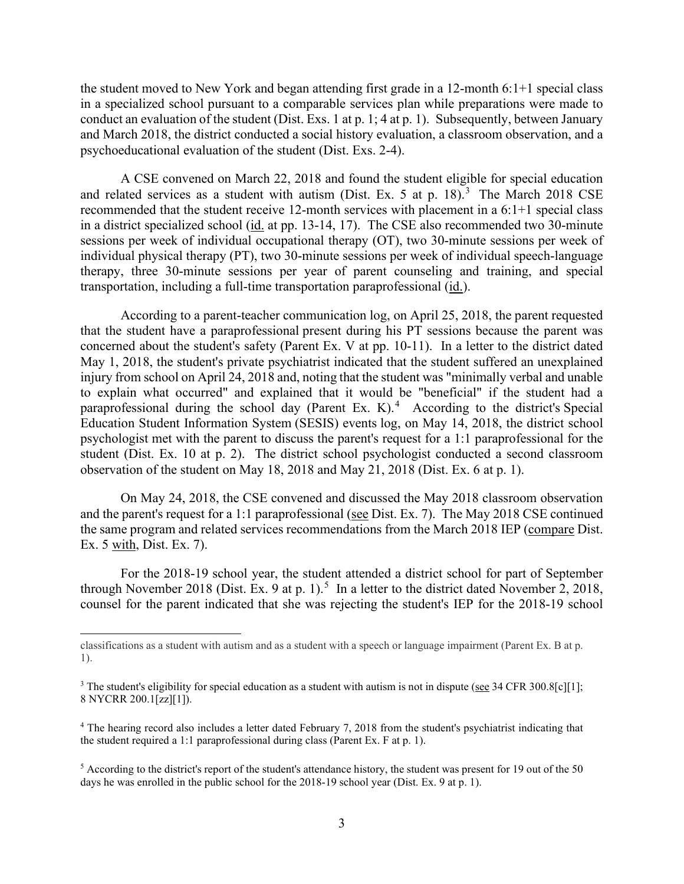the student moved to New York and began attending first grade in a 12-month 6:1+1 special class in a specialized school pursuant to a comparable services plan while preparations were made to conduct an evaluation of the student (Dist. Exs. 1 at p. 1; 4 at p. 1). Subsequently, between January and March 2018, the district conducted a social history evaluation, a classroom observation, and a psychoeducational evaluation of the student (Dist. Exs. 2-4).

A CSE convened on March 22, 2018 and found the student eligible for special education and related services as a student with autism (Dist. Ex. 5 at p. 18).<sup>[3](#page-2-0)</sup> The March 2018 CSE recommended that the student receive 12-month services with placement in a 6:1+1 special class in a district specialized school (id. at pp. 13-14, 17). The CSE also recommended two 30-minute sessions per week of individual occupational therapy (OT), two 30-minute sessions per week of individual physical therapy (PT), two 30-minute sessions per week of individual speech-language therapy, three 30-minute sessions per year of parent counseling and training, and special transportation, including a full-time transportation paraprofessional (id.).

According to a parent-teacher communication log, on April 25, 2018, the parent requested that the student have a paraprofessional present during his PT sessions because the parent was concerned about the student's safety (Parent Ex. V at pp. 10-11). In a letter to the district dated May 1, 2018, the student's private psychiatrist indicated that the student suffered an unexplained injury from school on April 24, 2018 and, noting that the student was "minimally verbal and unable to explain what occurred" and explained that it would be "beneficial" if the student had a paraprofessional during the school day (Parent Ex. K).<sup>[4](#page-2-1)</sup> According to the district's Special Education Student Information System (SESIS) events log, on May 14, 2018, the district school psychologist met with the parent to discuss the parent's request for a 1:1 paraprofessional for the student (Dist. Ex. 10 at p. 2). The district school psychologist conducted a second classroom observation of the student on May 18, 2018 and May 21, 2018 (Dist. Ex. 6 at p. 1).

On May 24, 2018, the CSE convened and discussed the May 2018 classroom observation and the parent's request for a 1:1 paraprofessional (see Dist. Ex. 7). The May 2018 CSE continued the same program and related services recommendations from the March 2018 IEP (compare Dist. Ex. 5 with, Dist. Ex. 7).

For the 2018-19 school year, the student attended a district school for part of September through November 2018 (Dist. Ex. 9 at p. 1).<sup>[5](#page-2-2)</sup> In a letter to the district dated November 2, 2018, counsel for the parent indicated that she was rejecting the student's IEP for the 2018-19 school

classifications as a student with autism and as a student with a speech or language impairment (Parent Ex. B at p. 1).

<span id="page-2-0"></span><sup>&</sup>lt;sup>3</sup> The student's eligibility for special education as a student with autism is not in dispute (see 34 CFR 300.8[c][1]; 8 NYCRR 200.1[zz][1]).

<span id="page-2-1"></span><sup>4</sup> The hearing record also includes a letter dated February 7, 2018 from the student's psychiatrist indicating that the student required a 1:1 paraprofessional during class (Parent Ex. F at p. 1).

<span id="page-2-2"></span><sup>5</sup> According to the district's report of the student's attendance history, the student was present for 19 out of the 50 days he was enrolled in the public school for the 2018-19 school year (Dist. Ex. 9 at p. 1).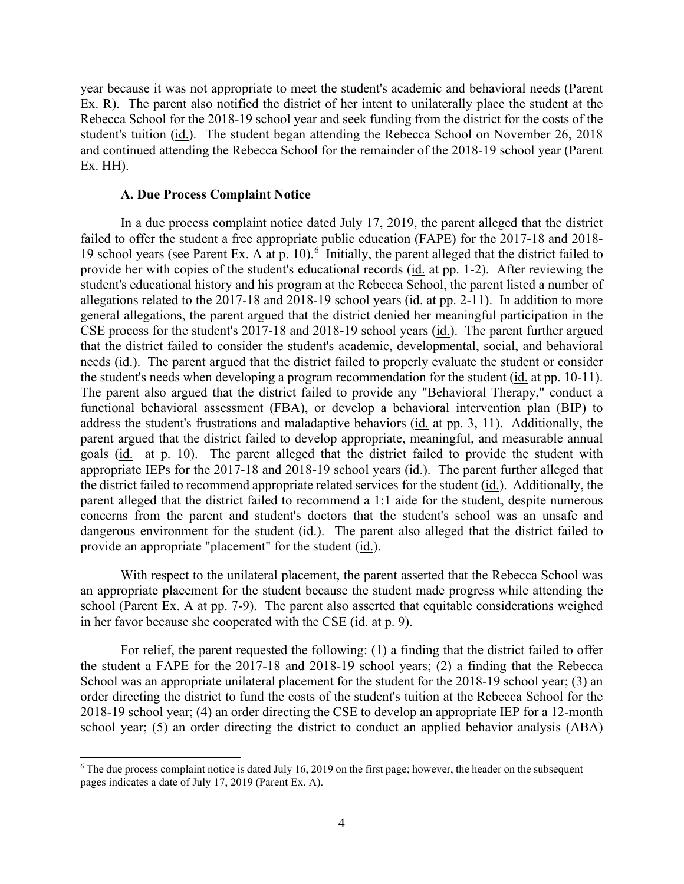year because it was not appropriate to meet the student's academic and behavioral needs (Parent Ex. R). The parent also notified the district of her intent to unilaterally place the student at the Rebecca School for the 2018-19 school year and seek funding from the district for the costs of the student's tuition (id.). The student began attending the Rebecca School on November 26, 2018 and continued attending the Rebecca School for the remainder of the 2018-19 school year (Parent Ex. HH).

#### **A. Due Process Complaint Notice**

In a due process complaint notice dated July 17, 2019, the parent alleged that the district failed to offer the student a free appropriate public education (FAPE) for the 2017-18 and 2018- 19 school years (see Parent Ex. A at p. 10).<sup>[6](#page-3-0)</sup> Initially, the parent alleged that the district failed to provide her with copies of the student's educational records (id. at pp. 1-2). After reviewing the student's educational history and his program at the Rebecca School, the parent listed a number of allegations related to the 2017-18 and 2018-19 school years (id. at pp. 2-11). In addition to more general allegations, the parent argued that the district denied her meaningful participation in the CSE process for the student's 2017-18 and 2018-19 school years (id.). The parent further argued that the district failed to consider the student's academic, developmental, social, and behavioral needs (id.). The parent argued that the district failed to properly evaluate the student or consider the student's needs when developing a program recommendation for the student (id. at pp. 10-11). The parent also argued that the district failed to provide any "Behavioral Therapy," conduct a functional behavioral assessment (FBA), or develop a behavioral intervention plan (BIP) to address the student's frustrations and maladaptive behaviors (id. at pp. 3, 11). Additionally, the parent argued that the district failed to develop appropriate, meaningful, and measurable annual goals (id. at p. 10). The parent alleged that the district failed to provide the student with appropriate IEPs for the 2017-18 and 2018-19 school years (id.). The parent further alleged that the district failed to recommend appropriate related services for the student (id.). Additionally, the parent alleged that the district failed to recommend a 1:1 aide for the student, despite numerous concerns from the parent and student's doctors that the student's school was an unsafe and dangerous environment for the student (id.). The parent also alleged that the district failed to provide an appropriate "placement" for the student (id.).

With respect to the unilateral placement, the parent asserted that the Rebecca School was an appropriate placement for the student because the student made progress while attending the school (Parent Ex. A at pp. 7-9). The parent also asserted that equitable considerations weighed in her favor because she cooperated with the CSE (id. at p. 9).

For relief, the parent requested the following: (1) a finding that the district failed to offer the student a FAPE for the 2017-18 and 2018-19 school years; (2) a finding that the Rebecca School was an appropriate unilateral placement for the student for the 2018-19 school year; (3) an order directing the district to fund the costs of the student's tuition at the Rebecca School for the 2018-19 school year; (4) an order directing the CSE to develop an appropriate IEP for a 12-month school year; (5) an order directing the district to conduct an applied behavior analysis (ABA)

<span id="page-3-0"></span> $6$  The due process complaint notice is dated July 16, 2019 on the first page; however, the header on the subsequent pages indicates a date of July 17, 2019 (Parent Ex. A).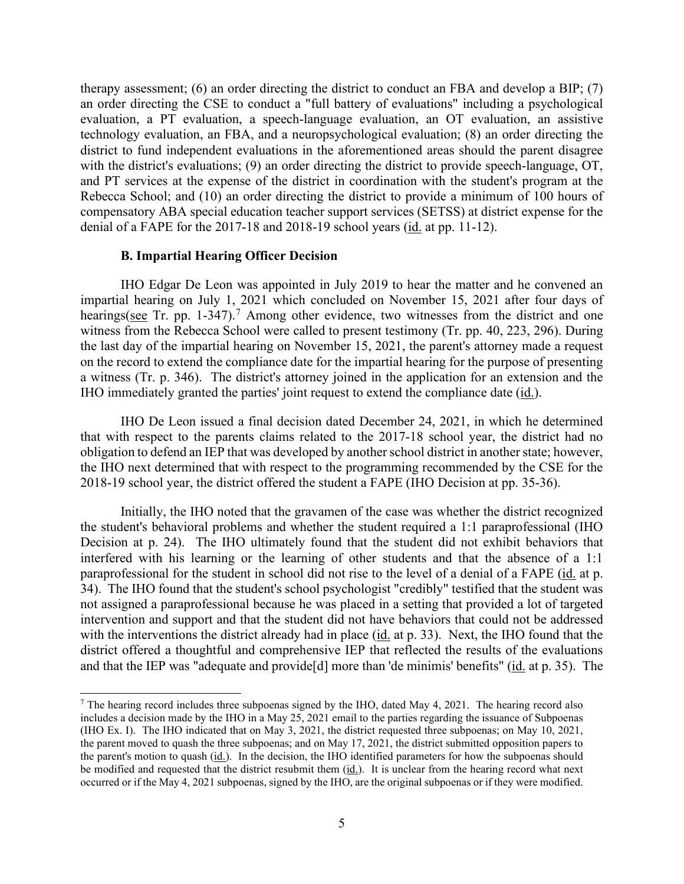therapy assessment; (6) an order directing the district to conduct an FBA and develop a BIP; (7) an order directing the CSE to conduct a "full battery of evaluations" including a psychological evaluation, a PT evaluation, a speech-language evaluation, an OT evaluation, an assistive technology evaluation, an FBA, and a neuropsychological evaluation; (8) an order directing the district to fund independent evaluations in the aforementioned areas should the parent disagree with the district's evaluations; (9) an order directing the district to provide speech-language, OT, and PT services at the expense of the district in coordination with the student's program at the Rebecca School; and (10) an order directing the district to provide a minimum of 100 hours of compensatory ABA special education teacher support services (SETSS) at district expense for the denial of a FAPE for the 2017-18 and 2018-19 school years (id. at pp. 11-12).

## **B. Impartial Hearing Officer Decision**

IHO Edgar De Leon was appointed in July 2019 to hear the matter and he convened an impartial hearing on July 1, 2021 which concluded on November 15, 2021 after four days of hearings(see Tr. pp. 1-34[7](#page-4-0)).<sup>7</sup> Among other evidence, two witnesses from the district and one witness from the Rebecca School were called to present testimony (Tr. pp. 40, 223, 296). During the last day of the impartial hearing on November 15, 2021, the parent's attorney made a request on the record to extend the compliance date for the impartial hearing for the purpose of presenting a witness (Tr. p. 346). The district's attorney joined in the application for an extension and the IHO immediately granted the parties' joint request to extend the compliance date  $(i_d)$ .

IHO De Leon issued a final decision dated December 24, 2021, in which he determined that with respect to the parents claims related to the 2017-18 school year, the district had no obligation to defend an IEP that was developed by another school district in another state; however, the IHO next determined that with respect to the programming recommended by the CSE for the 2018-19 school year, the district offered the student a FAPE (IHO Decision at pp. 35-36).

Initially, the IHO noted that the gravamen of the case was whether the district recognized the student's behavioral problems and whether the student required a 1:1 paraprofessional (IHO Decision at p. 24). The IHO ultimately found that the student did not exhibit behaviors that interfered with his learning or the learning of other students and that the absence of a 1:1 paraprofessional for the student in school did not rise to the level of a denial of a FAPE (id. at p. 34). The IHO found that the student's school psychologist "credibly" testified that the student was not assigned a paraprofessional because he was placed in a setting that provided a lot of targeted intervention and support and that the student did not have behaviors that could not be addressed with the interventions the district already had in place (id. at p. 33). Next, the IHO found that the district offered a thoughtful and comprehensive IEP that reflected the results of the evaluations and that the IEP was "adequate and provide<sup>[d]</sup> more than 'de minimis' benefits" (id. at p. 35). The

<span id="page-4-0"></span><sup>&</sup>lt;sup>7</sup> The hearing record includes three subpoenas signed by the IHO, dated May 4, 2021. The hearing record also includes a decision made by the IHO in a May 25, 2021 email to the parties regarding the issuance of Subpoenas (IHO Ex. I). The IHO indicated that on May 3, 2021, the district requested three subpoenas; on May 10, 2021, the parent moved to quash the three subpoenas; and on May 17, 2021, the district submitted opposition papers to the parent's motion to quash (id.). In the decision, the IHO identified parameters for how the subpoenas should be modified and requested that the district resubmit them (id.). It is unclear from the hearing record what next occurred or if the May 4, 2021 subpoenas, signed by the IHO, are the original subpoenas or if they were modified.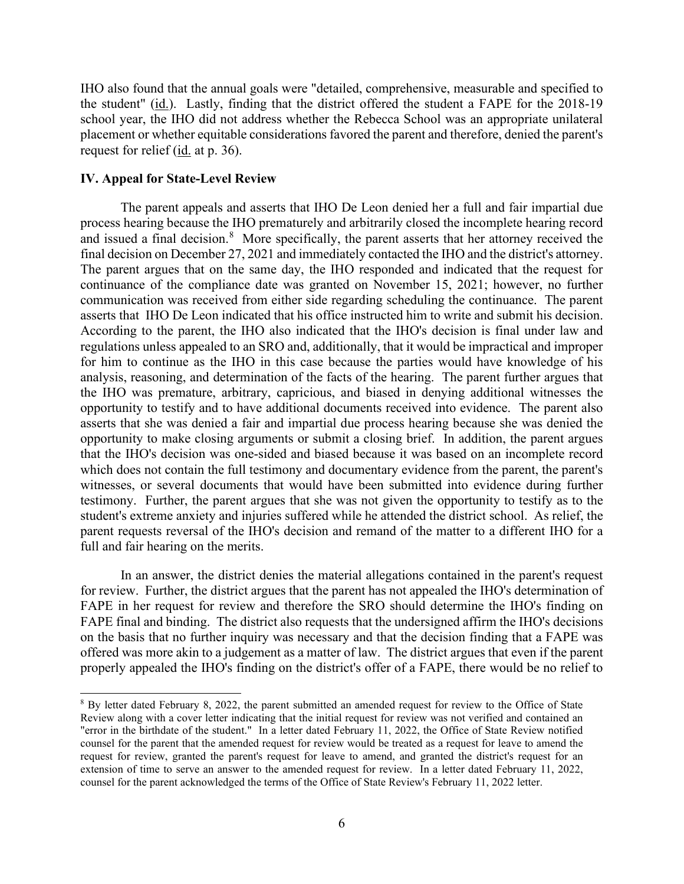IHO also found that the annual goals were "detailed, comprehensive, measurable and specified to the student" (id.). Lastly, finding that the district offered the student a FAPE for the 2018-19 school year, the IHO did not address whether the Rebecca School was an appropriate unilateral placement or whether equitable considerations favored the parent and therefore, denied the parent's request for relief (id. at p. 36).

## **IV. Appeal for State-Level Review**

The parent appeals and asserts that IHO De Leon denied her a full and fair impartial due process hearing because the IHO prematurely and arbitrarily closed the incomplete hearing record and issued a final decision.<sup>[8](#page-5-0)</sup> More specifically, the parent asserts that her attorney received the final decision on December 27, 2021 and immediately contacted the IHO and the district's attorney. The parent argues that on the same day, the IHO responded and indicated that the request for continuance of the compliance date was granted on November 15, 2021; however, no further communication was received from either side regarding scheduling the continuance. The parent asserts that IHO De Leon indicated that his office instructed him to write and submit his decision. According to the parent, the IHO also indicated that the IHO's decision is final under law and regulations unless appealed to an SRO and, additionally, that it would be impractical and improper for him to continue as the IHO in this case because the parties would have knowledge of his analysis, reasoning, and determination of the facts of the hearing. The parent further argues that the IHO was premature, arbitrary, capricious, and biased in denying additional witnesses the opportunity to testify and to have additional documents received into evidence. The parent also asserts that she was denied a fair and impartial due process hearing because she was denied the opportunity to make closing arguments or submit a closing brief. In addition, the parent argues that the IHO's decision was one-sided and biased because it was based on an incomplete record which does not contain the full testimony and documentary evidence from the parent, the parent's witnesses, or several documents that would have been submitted into evidence during further testimony. Further, the parent argues that she was not given the opportunity to testify as to the student's extreme anxiety and injuries suffered while he attended the district school. As relief, the parent requests reversal of the IHO's decision and remand of the matter to a different IHO for a full and fair hearing on the merits.

In an answer, the district denies the material allegations contained in the parent's request for review. Further, the district argues that the parent has not appealed the IHO's determination of FAPE in her request for review and therefore the SRO should determine the IHO's finding on FAPE final and binding. The district also requests that the undersigned affirm the IHO's decisions on the basis that no further inquiry was necessary and that the decision finding that a FAPE was offered was more akin to a judgement as a matter of law. The district argues that even if the parent properly appealed the IHO's finding on the district's offer of a FAPE, there would be no relief to

<span id="page-5-0"></span><sup>8</sup> By letter dated February 8, 2022, the parent submitted an amended request for review to the Office of State Review along with a cover letter indicating that the initial request for review was not verified and contained an "error in the birthdate of the student." In a letter dated February 11, 2022, the Office of State Review notified counsel for the parent that the amended request for review would be treated as a request for leave to amend the request for review, granted the parent's request for leave to amend, and granted the district's request for an extension of time to serve an answer to the amended request for review. In a letter dated February 11, 2022, counsel for the parent acknowledged the terms of the Office of State Review's February 11, 2022 letter.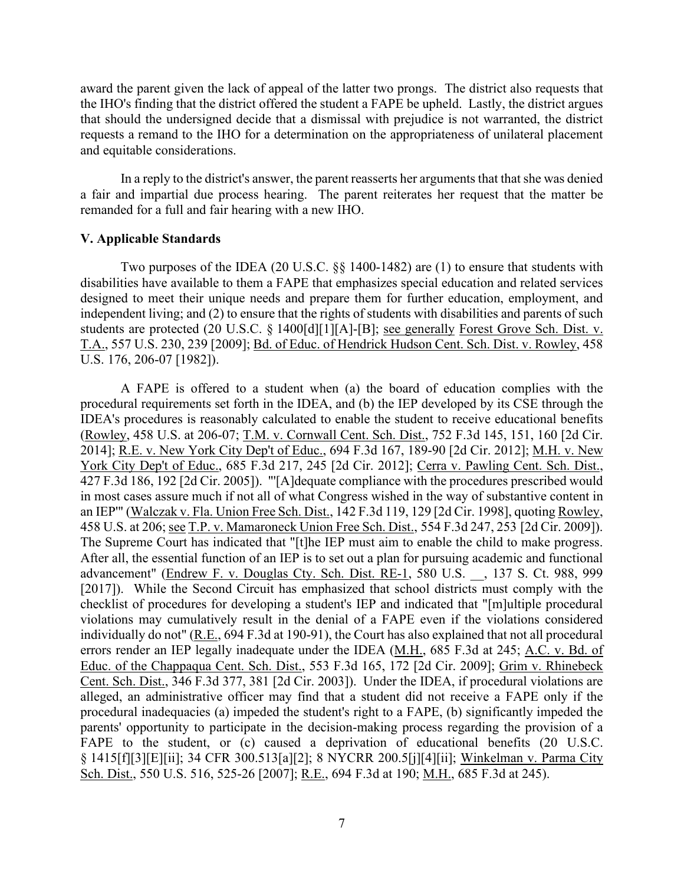award the parent given the lack of appeal of the latter two prongs. The district also requests that the IHO's finding that the district offered the student a FAPE be upheld. Lastly, the district argues that should the undersigned decide that a dismissal with prejudice is not warranted, the district requests a remand to the IHO for a determination on the appropriateness of unilateral placement and equitable considerations.

In a reply to the district's answer, the parent reasserts her arguments that that she was denied a fair and impartial due process hearing. The parent reiterates her request that the matter be remanded for a full and fair hearing with a new IHO.

## **V. Applicable Standards**

Two purposes of the IDEA (20 U.S.C. §§ 1400-1482) are (1) to ensure that students with disabilities have available to them a FAPE that emphasizes special education and related services designed to meet their unique needs and prepare them for further education, employment, and independent living; and (2) to ensure that the rights of students with disabilities and parents of such students are protected (20 U.S.C. § 1400[d][1][A]-[B]; see generally Forest Grove Sch. Dist. v. T.A., 557 U.S. 230, 239 [2009]; Bd. of Educ. of Hendrick Hudson Cent. Sch. Dist. v. Rowley, 458 U.S. 176, 206-07 [1982]).

A FAPE is offered to a student when (a) the board of education complies with the procedural requirements set forth in the IDEA, and (b) the IEP developed by its CSE through the IDEA's procedures is reasonably calculated to enable the student to receive educational benefits (Rowley, 458 U.S. at 206-07; T.M. v. Cornwall Cent. Sch. Dist., 752 F.3d 145, 151, 160 [2d Cir. 2014]; R.E. v. New York City Dep't of Educ., 694 F.3d 167, 189-90 [2d Cir. 2012]; M.H. v. New York City Dep't of Educ., 685 F.3d 217, 245 [2d Cir. 2012]; Cerra v. Pawling Cent. Sch. Dist., 427 F.3d 186, 192 [2d Cir. 2005]). "'[A]dequate compliance with the procedures prescribed would in most cases assure much if not all of what Congress wished in the way of substantive content in an IEP'" (Walczak v. Fla. Union Free Sch. Dist., 142 F.3d 119, 129 [2d Cir. 1998], quoting Rowley, 458 U.S. at 206; see T.P. v. Mamaroneck Union Free Sch. Dist., 554 F.3d 247, 253 [2d Cir. 2009]). The Supreme Court has indicated that "[t]he IEP must aim to enable the child to make progress. After all, the essential function of an IEP is to set out a plan for pursuing academic and functional advancement" (Endrew F. v. Douglas Cty. Sch. Dist. RE-1, 580 U.S. \_\_, 137 S. Ct. 988, 999 [2017]). While the Second Circuit has emphasized that school districts must comply with the checklist of procedures for developing a student's IEP and indicated that "[m]ultiple procedural violations may cumulatively result in the denial of a FAPE even if the violations considered individually do not" (R.E., 694 F.3d at 190-91), the Court has also explained that not all procedural errors render an IEP legally inadequate under the IDEA (M.H., 685 F.3d at 245; A.C. v. Bd. of Educ. of the Chappaqua Cent. Sch. Dist., 553 F.3d 165, 172 [2d Cir. 2009]; Grim v. Rhinebeck Cent. Sch. Dist., 346 F.3d 377, 381 [2d Cir. 2003]). Under the IDEA, if procedural violations are alleged, an administrative officer may find that a student did not receive a FAPE only if the procedural inadequacies (a) impeded the student's right to a FAPE, (b) significantly impeded the parents' opportunity to participate in the decision-making process regarding the provision of a FAPE to the student, or (c) caused a deprivation of educational benefits (20 U.S.C. § 1415[f][3][E][ii]; 34 CFR 300.513[a][2]; 8 NYCRR 200.5[j][4][ii]; Winkelman v. Parma City Sch. Dist., 550 U.S. 516, 525-26 [2007]; R.E., 694 F.3d at 190; M.H., 685 F.3d at 245).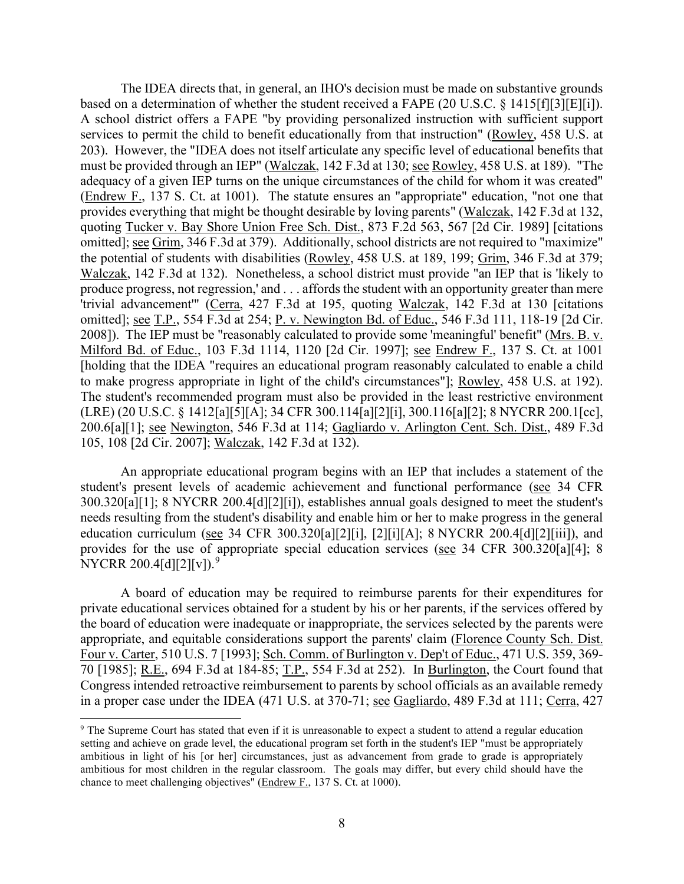The IDEA directs that, in general, an IHO's decision must be made on substantive grounds based on a determination of whether the student received a FAPE (20 U.S.C. § 1415[f][3][E][i]). A school district offers a FAPE "by providing personalized instruction with sufficient support services to permit the child to benefit educationally from that instruction" (Rowley, 458 U.S. at 203). However, the "IDEA does not itself articulate any specific level of educational benefits that must be provided through an IEP" (Walczak, 142 F.3d at 130; see Rowley, 458 U.S. at 189). "The adequacy of a given IEP turns on the unique circumstances of the child for whom it was created" (Endrew F., 137 S. Ct. at 1001). The statute ensures an "appropriate" education, "not one that provides everything that might be thought desirable by loving parents" (Walczak, 142 F.3d at 132, quoting Tucker v. Bay Shore Union Free Sch. Dist., 873 F.2d 563, 567 [2d Cir. 1989] [citations omitted]; see Grim, 346 F.3d at 379). Additionally, school districts are not required to "maximize" the potential of students with disabilities (Rowley, 458 U.S. at 189, 199; Grim, 346 F.3d at 379; Walczak, 142 F.3d at 132). Nonetheless, a school district must provide "an IEP that is 'likely to produce progress, not regression,' and . . . affords the student with an opportunity greater than mere 'trivial advancement'" (Cerra, 427 F.3d at 195, quoting Walczak, 142 F.3d at 130 [citations omitted]; see T.P., 554 F.3d at 254; P. v. Newington Bd. of Educ., 546 F.3d 111, 118-19 [2d Cir. 2008]). The IEP must be "reasonably calculated to provide some 'meaningful' benefit" (Mrs. B. v. Milford Bd. of Educ., 103 F.3d 1114, 1120 [2d Cir. 1997]; see Endrew F., 137 S. Ct. at 1001 [holding that the IDEA "requires an educational program reasonably calculated to enable a child to make progress appropriate in light of the child's circumstances"]; Rowley, 458 U.S. at 192). The student's recommended program must also be provided in the least restrictive environment (LRE) (20 U.S.C. § 1412[a][5][A]; 34 CFR 300.114[a][2][i], 300.116[a][2]; 8 NYCRR 200.1[cc], 200.6[a][1]; see Newington, 546 F.3d at 114; Gagliardo v. Arlington Cent. Sch. Dist., 489 F.3d 105, 108 [2d Cir. 2007]; Walczak, 142 F.3d at 132).

An appropriate educational program begins with an IEP that includes a statement of the student's present levels of academic achievement and functional performance (see 34 CFR 300.320[a][1]; 8 NYCRR 200.4[d][2][i]), establishes annual goals designed to meet the student's needs resulting from the student's disability and enable him or her to make progress in the general education curriculum (see 34 CFR 300.320[a][2][i], [2][i][A]; 8 NYCRR 200.4[d][2][iii]), and provides for the use of appropriate special education services (see 34 CFR 300.320[a][4]; 8 NYCRR 200.4[d][2][v]).<sup>[9](#page-7-0)</sup>

A board of education may be required to reimburse parents for their expenditures for private educational services obtained for a student by his or her parents, if the services offered by the board of education were inadequate or inappropriate, the services selected by the parents were appropriate, and equitable considerations support the parents' claim (Florence County Sch. Dist. Four v. Carter, 510 U.S. 7 [1993]; Sch. Comm. of Burlington v. Dep't of Educ., 471 U.S. 359, 369- 70 [1985]; R.E., 694 F.3d at 184-85; T.P., 554 F.3d at 252). In Burlington, the Court found that Congress intended retroactive reimbursement to parents by school officials as an available remedy in a proper case under the IDEA (471 U.S. at 370-71; see Gagliardo, 489 F.3d at 111; Cerra, 427

<span id="page-7-0"></span><sup>&</sup>lt;sup>9</sup> The Supreme Court has stated that even if it is unreasonable to expect a student to attend a regular education setting and achieve on grade level, the educational program set forth in the student's IEP "must be appropriately ambitious in light of his [or her] circumstances, just as advancement from grade to grade is appropriately ambitious for most children in the regular classroom. The goals may differ, but every child should have the chance to meet challenging objectives" (Endrew F., 137 S. Ct. at 1000).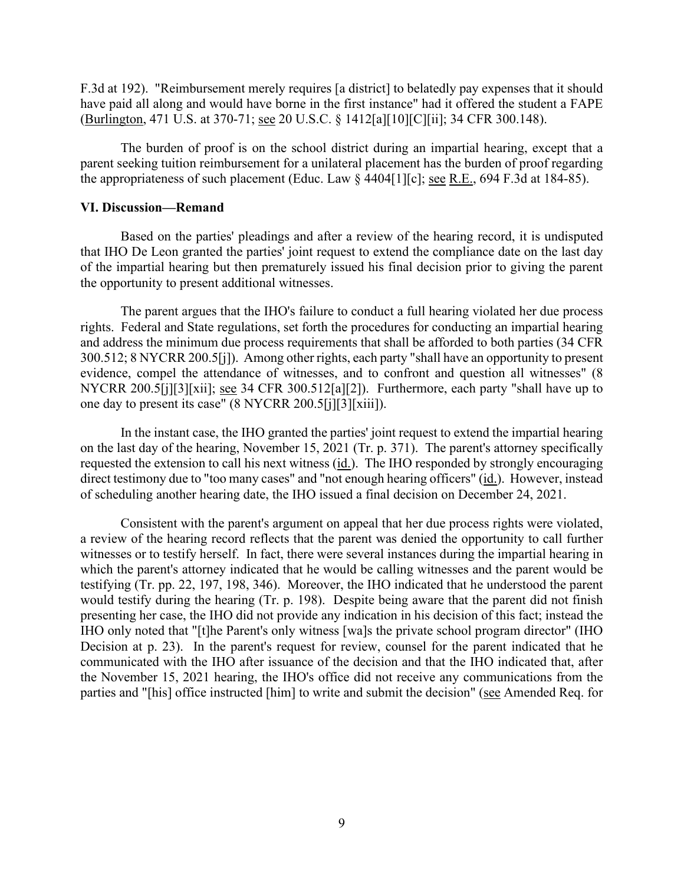F.3d at 192). "Reimbursement merely requires [a district] to belatedly pay expenses that it should have paid all along and would have borne in the first instance" had it offered the student a FAPE (Burlington, 471 U.S. at 370-71; see 20 U.S.C. § 1412[a][10][C][ii]; 34 CFR 300.148).

The burden of proof is on the school district during an impartial hearing, except that a parent seeking tuition reimbursement for a unilateral placement has the burden of proof regarding the appropriateness of such placement (Educ. Law  $\S$  4404[1][c]; see R.E., 694 F.3d at 184-85).

## **VI. Discussion—Remand**

Based on the parties' pleadings and after a review of the hearing record, it is undisputed that IHO De Leon granted the parties' joint request to extend the compliance date on the last day of the impartial hearing but then prematurely issued his final decision prior to giving the parent the opportunity to present additional witnesses.

The parent argues that the IHO's failure to conduct a full hearing violated her due process rights. Federal and State regulations, set forth the procedures for conducting an impartial hearing and address the minimum due process requirements that shall be afforded to both parties (34 CFR 300.512; 8 NYCRR 200.5[j]). Among other rights, each party "shall have an opportunity to present evidence, compel the attendance of witnesses, and to confront and question all witnesses" (8 NYCRR 200.5[j][3][xii]; see 34 CFR 300.512[a][2]). Furthermore, each party "shall have up to one day to present its case" (8 NYCRR 200.5[j][3][xiii]).

In the instant case, the IHO granted the parties' joint request to extend the impartial hearing on the last day of the hearing, November 15, 2021 (Tr. p. 371). The parent's attorney specifically requested the extension to call his next witness (id.). The IHO responded by strongly encouraging direct testimony due to "too many cases" and "not enough hearing officers" (id.). However, instead of scheduling another hearing date, the IHO issued a final decision on December 24, 2021.

Consistent with the parent's argument on appeal that her due process rights were violated, a review of the hearing record reflects that the parent was denied the opportunity to call further witnesses or to testify herself. In fact, there were several instances during the impartial hearing in which the parent's attorney indicated that he would be calling witnesses and the parent would be testifying (Tr. pp. 22, 197, 198, 346). Moreover, the IHO indicated that he understood the parent would testify during the hearing (Tr. p. 198). Despite being aware that the parent did not finish presenting her case, the IHO did not provide any indication in his decision of this fact; instead the IHO only noted that "[t]he Parent's only witness [wa]s the private school program director" (IHO Decision at p. 23). In the parent's request for review, counsel for the parent indicated that he communicated with the IHO after issuance of the decision and that the IHO indicated that, after the November 15, 2021 hearing, the IHO's office did not receive any communications from the parties and "[his] office instructed [him] to write and submit the decision" (see Amended Req. for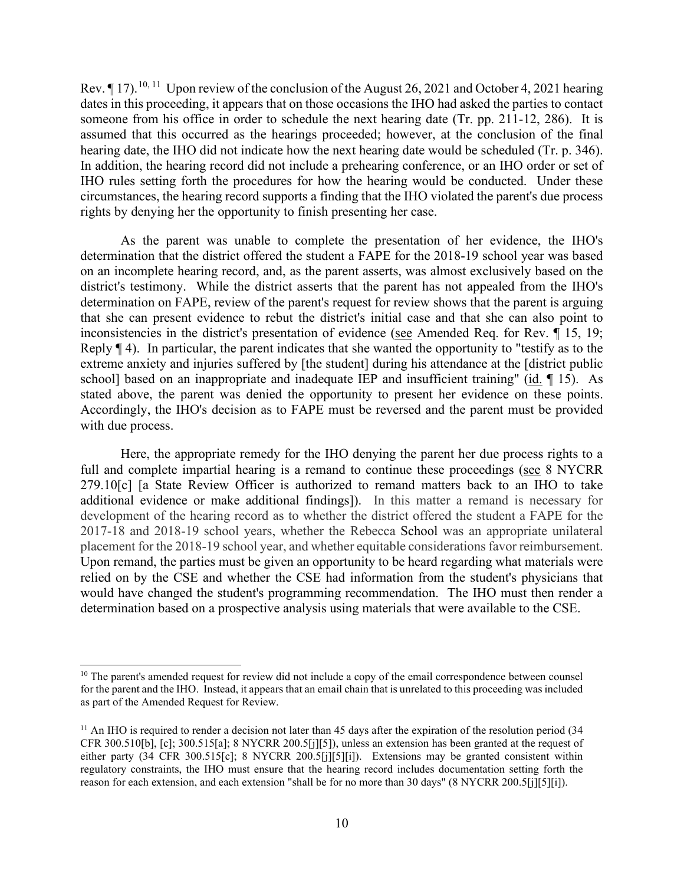Rev.  $\P$  17).<sup>[10](#page-9-0), [11](#page-9-1)</sup> Upon review of the conclusion of the August 26, 2021 and October 4, 2021 hearing dates in this proceeding, it appears that on those occasions the IHO had asked the parties to contact someone from his office in order to schedule the next hearing date (Tr. pp. 211-12, 286). It is assumed that this occurred as the hearings proceeded; however, at the conclusion of the final hearing date, the IHO did not indicate how the next hearing date would be scheduled (Tr. p. 346). In addition, the hearing record did not include a prehearing conference, or an IHO order or set of IHO rules setting forth the procedures for how the hearing would be conducted. Under these circumstances, the hearing record supports a finding that the IHO violated the parent's due process rights by denying her the opportunity to finish presenting her case.

As the parent was unable to complete the presentation of her evidence, the IHO's determination that the district offered the student a FAPE for the 2018-19 school year was based on an incomplete hearing record, and, as the parent asserts, was almost exclusively based on the district's testimony. While the district asserts that the parent has not appealed from the IHO's determination on FAPE, review of the parent's request for review shows that the parent is arguing that she can present evidence to rebut the district's initial case and that she can also point to inconsistencies in the district's presentation of evidence (see Amended Req. for Rev. ¶ 15, 19; Reply  $\P$  4). In particular, the parent indicates that she wanted the opportunity to "testify as to the extreme anxiety and injuries suffered by [the student] during his attendance at the [district public school] based on an inappropriate and inadequate IEP and insufficient training" (id.  $\P$  15). As stated above, the parent was denied the opportunity to present her evidence on these points. Accordingly, the IHO's decision as to FAPE must be reversed and the parent must be provided with due process.

Here, the appropriate remedy for the IHO denying the parent her due process rights to a full and complete impartial hearing is a remand to continue these proceedings (see 8 NYCRR 279.10[c] [a State Review Officer is authorized to remand matters back to an IHO to take additional evidence or make additional findings]). In this matter a remand is necessary for development of the hearing record as to whether the district offered the student a FAPE for the 2017-18 and 2018-19 school years, whether the Rebecca School was an appropriate unilateral placement for the 2018-19 school year, and whether equitable considerations favor reimbursement. Upon remand, the parties must be given an opportunity to be heard regarding what materials were relied on by the CSE and whether the CSE had information from the student's physicians that would have changed the student's programming recommendation. The IHO must then render a determination based on a prospective analysis using materials that were available to the CSE.

<span id="page-9-0"></span><sup>&</sup>lt;sup>10</sup> The parent's amended request for review did not include a copy of the email correspondence between counsel for the parent and the IHO. Instead, it appears that an email chain that is unrelated to this proceeding was included as part of the Amended Request for Review.

<span id="page-9-1"></span><sup>&</sup>lt;sup>11</sup> An IHO is required to render a decision not later than 45 days after the expiration of the resolution period (34 CFR 300.510[b], [c]; 300.515[a]; 8 NYCRR 200.5[j][5]), unless an extension has been granted at the request of either party (34 CFR 300.515[c]; 8 NYCRR 200.5[j][5][i]). Extensions may be granted consistent within regulatory constraints, the IHO must ensure that the hearing record includes documentation setting forth the reason for each extension, and each extension "shall be for no more than 30 days" (8 NYCRR 200.5[j][5][i]).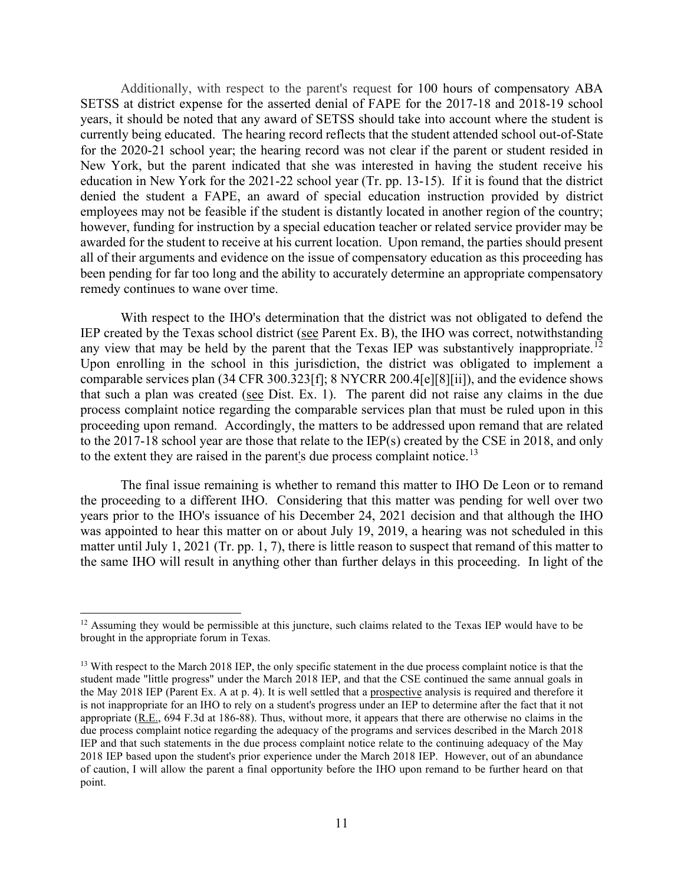Additionally, with respect to the parent's request for 100 hours of compensatory ABA SETSS at district expense for the asserted denial of FAPE for the 2017-18 and 2018-19 school years, it should be noted that any award of SETSS should take into account where the student is currently being educated. The hearing record reflects that the student attended school out-of-State for the 2020-21 school year; the hearing record was not clear if the parent or student resided in New York, but the parent indicated that she was interested in having the student receive his education in New York for the 2021-22 school year (Tr. pp. 13-15). If it is found that the district denied the student a FAPE, an award of special education instruction provided by district employees may not be feasible if the student is distantly located in another region of the country; however, funding for instruction by a special education teacher or related service provider may be awarded for the student to receive at his current location. Upon remand, the parties should present all of their arguments and evidence on the issue of compensatory education as this proceeding has been pending for far too long and the ability to accurately determine an appropriate compensatory remedy continues to wane over time.

With respect to the IHO's determination that the district was not obligated to defend the IEP created by the Texas school district (see Parent Ex. B), the IHO was correct, notwithstanding any view that may be held by the parent that the Texas IEP was substantively inappropriate.<sup>[12](#page-10-0)</sup> Upon enrolling in the school in this jurisdiction, the district was obligated to implement a comparable services plan (34 CFR 300.323[f]; 8 NYCRR 200.4[e][8][ii]), and the evidence shows that such a plan was created (see Dist. Ex. 1). The parent did not raise any claims in the due process complaint notice regarding the comparable services plan that must be ruled upon in this proceeding upon remand. Accordingly, the matters to be addressed upon remand that are related to the 2017-18 school year are those that relate to the IEP(s) created by the CSE in 2018, and only to the extent they are raised in the parent's due process complaint notice.<sup>[13](#page-10-1)</sup>

The final issue remaining is whether to remand this matter to IHO De Leon or to remand the proceeding to a different IHO. Considering that this matter was pending for well over two years prior to the IHO's issuance of his December 24, 2021 decision and that although the IHO was appointed to hear this matter on or about July 19, 2019, a hearing was not scheduled in this matter until July 1, 2021 (Tr. pp. 1, 7), there is little reason to suspect that remand of this matter to the same IHO will result in anything other than further delays in this proceeding. In light of the

<span id="page-10-0"></span><sup>&</sup>lt;sup>12</sup> Assuming they would be permissible at this juncture, such claims related to the Texas IEP would have to be brought in the appropriate forum in Texas.

<span id="page-10-1"></span><sup>&</sup>lt;sup>13</sup> With respect to the March 2018 IEP, the only specific statement in the due process complaint notice is that the student made "little progress" under the March 2018 IEP, and that the CSE continued the same annual goals in the May 2018 IEP (Parent Ex. A at p. 4). It is well settled that a prospective analysis is required and therefore it is not inappropriate for an IHO to rely on a student's progress under an IEP to determine after the fact that it not appropriate (R.E., 694 F.3d at 186-88). Thus, without more, it appears that there are otherwise no claims in the due process complaint notice regarding the adequacy of the programs and services described in the March 2018 IEP and that such statements in the due process complaint notice relate to the continuing adequacy of the May 2018 IEP based upon the student's prior experience under the March 2018 IEP. However, out of an abundance of caution, I will allow the parent a final opportunity before the IHO upon remand to be further heard on that point.